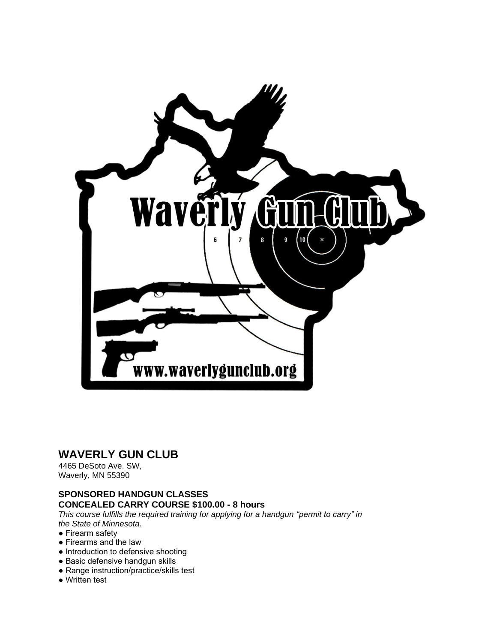

## **WAVERLY GUN CLUB**

4465 DeSoto Ave. SW, Waverly, MN 55390

## **SPONSORED HANDGUN CLASSES CONCEALED CARRY COURSE \$100.00 - 8 hours**

*This course fulfills the required training for applying for a handgun "permit to carry" in the State of Minnesota*.

## ● Firearm safety

- Firearms and the law
- Introduction to defensive shooting
- Basic defensive handgun skills
- Range instruction/practice/skills test
- Written test